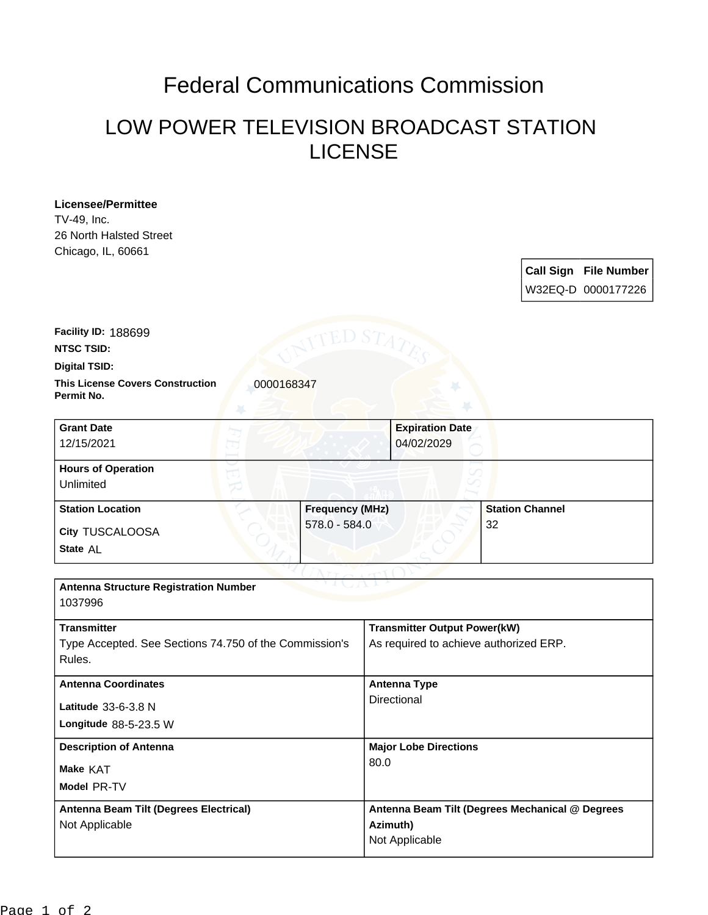## Federal Communications Commission

## LOW POWER TELEVISION BROADCAST STATION LICENSE

**Licensee/Permittee** TV-49, Inc. 26 North Halsted Street Chicago, IL, 60661

> **Call Sign File Number** W32EQ-D 0000177226

**This License Covers Construction**  0000168347 **Digital TSID: NTSC TSID: Facility ID:** 188699

**Permit No.**

| <b>Grant Date</b><br>12/15/2021        |                        | <b>Expiration Date</b><br>04/02/2029 |
|----------------------------------------|------------------------|--------------------------------------|
| <b>Hours of Operation</b><br>Unlimited |                        |                                      |
| <b>Station Location</b>                | <b>Frequency (MHz)</b> | <b>Station Channel</b>               |
| <b>City TUSCALOOSA</b><br>State AL     | 578.0 - 584.0          | 32                                   |

| <b>Antenna Structure Registration Number</b><br>1037996                                |                                                                               |  |
|----------------------------------------------------------------------------------------|-------------------------------------------------------------------------------|--|
| <b>Transmitter</b><br>Type Accepted. See Sections 74.750 of the Commission's<br>Rules. | <b>Transmitter Output Power(kW)</b><br>As required to achieve authorized ERP. |  |
| <b>Antenna Coordinates</b><br>Latitude 33-6-3.8 N<br>Longitude $88-5-23.5$ W           | Antenna Type<br>Directional                                                   |  |
| <b>Description of Antenna</b><br>Make KAT<br>Model PR-TV                               | <b>Major Lobe Directions</b><br>80.0                                          |  |
| Antenna Beam Tilt (Degrees Electrical)<br>Not Applicable                               | Antenna Beam Tilt (Degrees Mechanical @ Degrees<br>Azimuth)<br>Not Applicable |  |